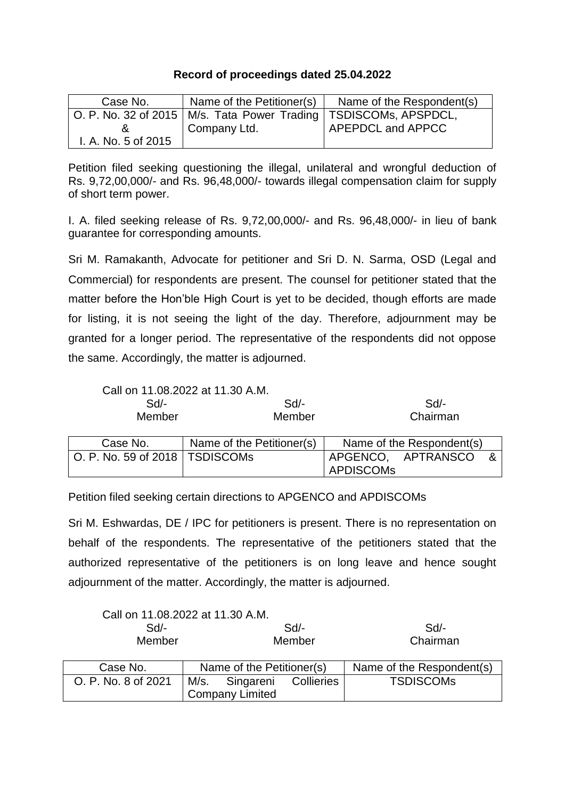## **Record of proceedings dated 25.04.2022**

| Case No.            | Name of the Petitioner(s)                                            | Name of the Respondent(s) |
|---------------------|----------------------------------------------------------------------|---------------------------|
|                     | O. P. No. 32 of 2015   M/s. Tata Power Trading   TSDISCOMs, APSPDCL, |                           |
|                     | Company Ltd.                                                         | APEPDCL and APPCC         |
| I. A. No. 5 of 2015 |                                                                      |                           |

Petition filed seeking questioning the illegal, unilateral and wrongful deduction of Rs. 9,72,00,000/- and Rs. 96,48,000/- towards illegal compensation claim for supply of short term power.

I. A. filed seeking release of Rs. 9,72,00,000/- and Rs. 96,48,000/- in lieu of bank guarantee for corresponding amounts.

Sri M. Ramakanth, Advocate for petitioner and Sri D. N. Sarma, OSD (Legal and Commercial) for respondents are present. The counsel for petitioner stated that the matter before the Hon'ble High Court is yet to be decided, though efforts are made for listing, it is not seeing the light of the day. Therefore, adjournment may be granted for a longer period. The representative of the respondents did not oppose the same. Accordingly, the matter is adjourned.

|                                  | Call on 11.08.2022 at 11.30 A.M. |                  |                           |  |
|----------------------------------|----------------------------------|------------------|---------------------------|--|
| $Sd$ -                           | $Sd$ -                           |                  | Sd/-                      |  |
| Member                           | Member                           |                  | Chairman                  |  |
|                                  |                                  |                  |                           |  |
| Case No.                         | Name of the Petitioner(s)        |                  | Name of the Respondent(s) |  |
| O. P. No. 59 of 2018   TSDISCOMs |                                  |                  | APGENCO, APTRANSCO        |  |
|                                  |                                  | <b>APDISCOMs</b> |                           |  |

Petition filed seeking certain directions to APGENCO and APDISCOMs

Sri M. Eshwardas, DE / IPC for petitioners is present. There is no representation on behalf of the respondents. The representative of the petitioners stated that the authorized representative of the petitioners is on long leave and hence sought adjournment of the matter. Accordingly, the matter is adjourned.

| Call on 11.08.2022 at 11.30 A.M. |  |                           |            |                           |
|----------------------------------|--|---------------------------|------------|---------------------------|
| Sd                               |  | Sd                        |            | Sd                        |
| Member                           |  | Member                    |            | Chairman                  |
|                                  |  |                           |            |                           |
| Case No.                         |  | Name of the Petitioner(s) |            | Name of the Respondent(s) |
| O. P. No. 8 of 2021              |  | M/s. Singareni            | Collieries | <b>TSDISCOMS</b>          |
|                                  |  | <b>Company Limited</b>    |            |                           |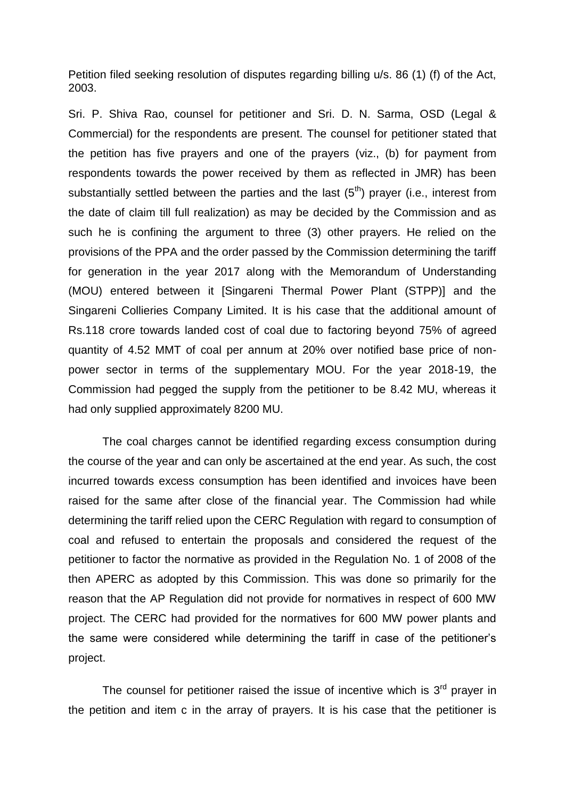Petition filed seeking resolution of disputes regarding billing u/s. 86 (1) (f) of the Act, 2003.

Sri. P. Shiva Rao, counsel for petitioner and Sri. D. N. Sarma, OSD (Legal & Commercial) for the respondents are present. The counsel for petitioner stated that the petition has five prayers and one of the prayers (viz., (b) for payment from respondents towards the power received by them as reflected in JMR) has been substantially settled between the parties and the last  $(5<sup>th</sup>)$  prayer (i.e., interest from the date of claim till full realization) as may be decided by the Commission and as such he is confining the argument to three (3) other prayers. He relied on the provisions of the PPA and the order passed by the Commission determining the tariff for generation in the year 2017 along with the Memorandum of Understanding (MOU) entered between it [Singareni Thermal Power Plant (STPP)] and the Singareni Collieries Company Limited. It is his case that the additional amount of Rs.118 crore towards landed cost of coal due to factoring beyond 75% of agreed quantity of 4.52 MMT of coal per annum at 20% over notified base price of nonpower sector in terms of the supplementary MOU. For the year 2018-19, the Commission had pegged the supply from the petitioner to be 8.42 MU, whereas it had only supplied approximately 8200 MU.

The coal charges cannot be identified regarding excess consumption during the course of the year and can only be ascertained at the end year. As such, the cost incurred towards excess consumption has been identified and invoices have been raised for the same after close of the financial year. The Commission had while determining the tariff relied upon the CERC Regulation with regard to consumption of coal and refused to entertain the proposals and considered the request of the petitioner to factor the normative as provided in the Regulation No. 1 of 2008 of the then APERC as adopted by this Commission. This was done so primarily for the reason that the AP Regulation did not provide for normatives in respect of 600 MW project. The CERC had provided for the normatives for 600 MW power plants and the same were considered while determining the tariff in case of the petitioner's project.

The counsel for petitioner raised the issue of incentive which is  $3<sup>rd</sup>$  prayer in the petition and item c in the array of prayers. It is his case that the petitioner is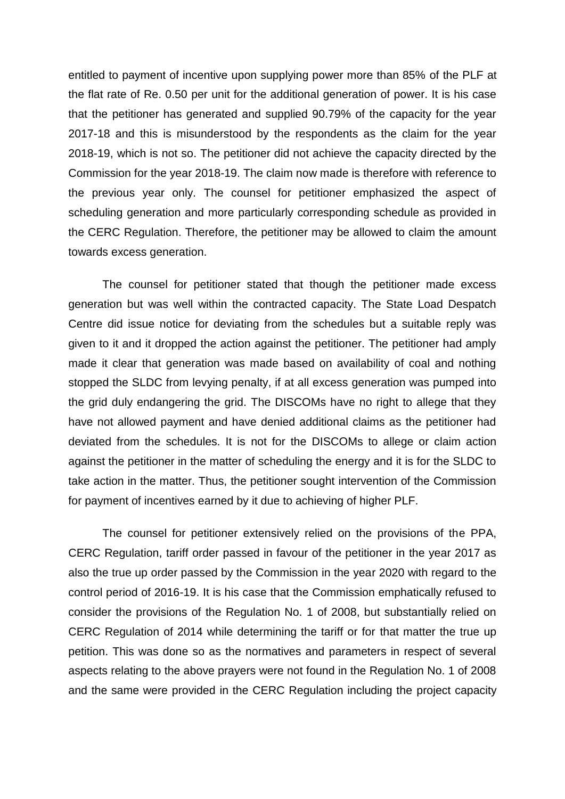entitled to payment of incentive upon supplying power more than 85% of the PLF at the flat rate of Re. 0.50 per unit for the additional generation of power. It is his case that the petitioner has generated and supplied 90.79% of the capacity for the year 2017-18 and this is misunderstood by the respondents as the claim for the year 2018-19, which is not so. The petitioner did not achieve the capacity directed by the Commission for the year 2018-19. The claim now made is therefore with reference to the previous year only. The counsel for petitioner emphasized the aspect of scheduling generation and more particularly corresponding schedule as provided in the CERC Regulation. Therefore, the petitioner may be allowed to claim the amount towards excess generation.

The counsel for petitioner stated that though the petitioner made excess generation but was well within the contracted capacity. The State Load Despatch Centre did issue notice for deviating from the schedules but a suitable reply was given to it and it dropped the action against the petitioner. The petitioner had amply made it clear that generation was made based on availability of coal and nothing stopped the SLDC from levying penalty, if at all excess generation was pumped into the grid duly endangering the grid. The DISCOMs have no right to allege that they have not allowed payment and have denied additional claims as the petitioner had deviated from the schedules. It is not for the DISCOMs to allege or claim action against the petitioner in the matter of scheduling the energy and it is for the SLDC to take action in the matter. Thus, the petitioner sought intervention of the Commission for payment of incentives earned by it due to achieving of higher PLF.

The counsel for petitioner extensively relied on the provisions of the PPA, CERC Regulation, tariff order passed in favour of the petitioner in the year 2017 as also the true up order passed by the Commission in the year 2020 with regard to the control period of 2016-19. It is his case that the Commission emphatically refused to consider the provisions of the Regulation No. 1 of 2008, but substantially relied on CERC Regulation of 2014 while determining the tariff or for that matter the true up petition. This was done so as the normatives and parameters in respect of several aspects relating to the above prayers were not found in the Regulation No. 1 of 2008 and the same were provided in the CERC Regulation including the project capacity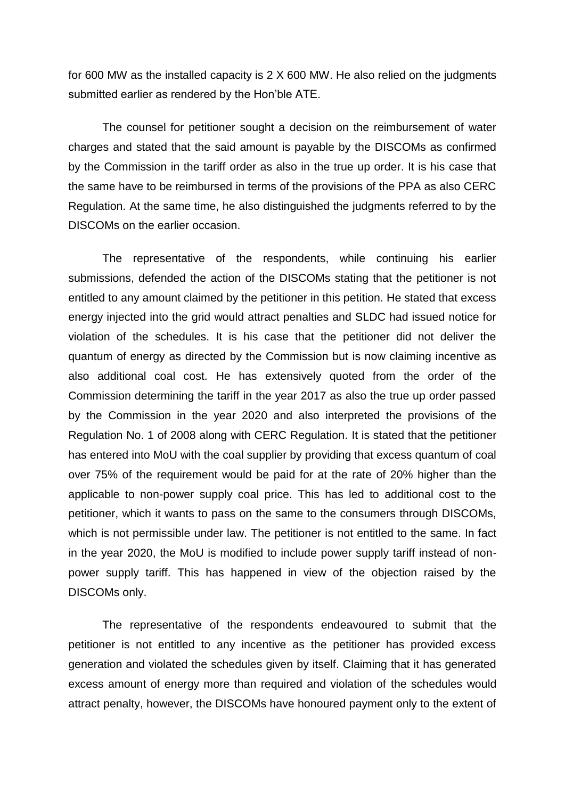for 600 MW as the installed capacity is 2 X 600 MW. He also relied on the judgments submitted earlier as rendered by the Hon'ble ATE.

The counsel for petitioner sought a decision on the reimbursement of water charges and stated that the said amount is payable by the DISCOMs as confirmed by the Commission in the tariff order as also in the true up order. It is his case that the same have to be reimbursed in terms of the provisions of the PPA as also CERC Regulation. At the same time, he also distinguished the judgments referred to by the DISCOMs on the earlier occasion.

The representative of the respondents, while continuing his earlier submissions, defended the action of the DISCOMs stating that the petitioner is not entitled to any amount claimed by the petitioner in this petition. He stated that excess energy injected into the grid would attract penalties and SLDC had issued notice for violation of the schedules. It is his case that the petitioner did not deliver the quantum of energy as directed by the Commission but is now claiming incentive as also additional coal cost. He has extensively quoted from the order of the Commission determining the tariff in the year 2017 as also the true up order passed by the Commission in the year 2020 and also interpreted the provisions of the Regulation No. 1 of 2008 along with CERC Regulation. It is stated that the petitioner has entered into MoU with the coal supplier by providing that excess quantum of coal over 75% of the requirement would be paid for at the rate of 20% higher than the applicable to non-power supply coal price. This has led to additional cost to the petitioner, which it wants to pass on the same to the consumers through DISCOMs, which is not permissible under law. The petitioner is not entitled to the same. In fact in the year 2020, the MoU is modified to include power supply tariff instead of nonpower supply tariff. This has happened in view of the objection raised by the DISCOMs only.

The representative of the respondents endeavoured to submit that the petitioner is not entitled to any incentive as the petitioner has provided excess generation and violated the schedules given by itself. Claiming that it has generated excess amount of energy more than required and violation of the schedules would attract penalty, however, the DISCOMs have honoured payment only to the extent of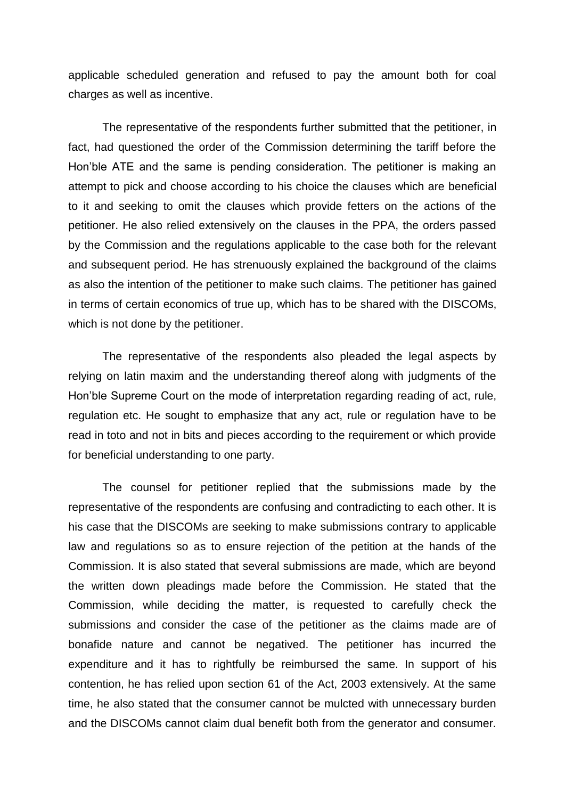applicable scheduled generation and refused to pay the amount both for coal charges as well as incentive.

The representative of the respondents further submitted that the petitioner, in fact, had questioned the order of the Commission determining the tariff before the Hon'ble ATE and the same is pending consideration. The petitioner is making an attempt to pick and choose according to his choice the clauses which are beneficial to it and seeking to omit the clauses which provide fetters on the actions of the petitioner. He also relied extensively on the clauses in the PPA, the orders passed by the Commission and the regulations applicable to the case both for the relevant and subsequent period. He has strenuously explained the background of the claims as also the intention of the petitioner to make such claims. The petitioner has gained in terms of certain economics of true up, which has to be shared with the DISCOMs, which is not done by the petitioner.

The representative of the respondents also pleaded the legal aspects by relying on latin maxim and the understanding thereof along with judgments of the Hon'ble Supreme Court on the mode of interpretation regarding reading of act, rule, regulation etc. He sought to emphasize that any act, rule or regulation have to be read in toto and not in bits and pieces according to the requirement or which provide for beneficial understanding to one party.

The counsel for petitioner replied that the submissions made by the representative of the respondents are confusing and contradicting to each other. It is his case that the DISCOMs are seeking to make submissions contrary to applicable law and regulations so as to ensure rejection of the petition at the hands of the Commission. It is also stated that several submissions are made, which are beyond the written down pleadings made before the Commission. He stated that the Commission, while deciding the matter, is requested to carefully check the submissions and consider the case of the petitioner as the claims made are of bonafide nature and cannot be negatived. The petitioner has incurred the expenditure and it has to rightfully be reimbursed the same. In support of his contention, he has relied upon section 61 of the Act, 2003 extensively. At the same time, he also stated that the consumer cannot be mulcted with unnecessary burden and the DISCOMs cannot claim dual benefit both from the generator and consumer.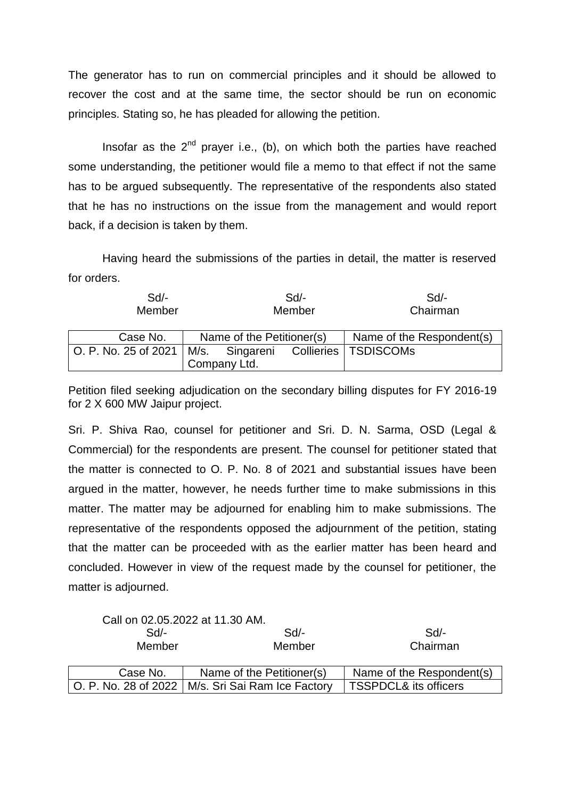The generator has to run on commercial principles and it should be allowed to recover the cost and at the same time, the sector should be run on economic principles. Stating so, he has pleaded for allowing the petition.

Insofar as the  $2^{nd}$  prayer i.e., (b), on which both the parties have reached some understanding, the petitioner would file a memo to that effect if not the same has to be argued subsequently. The representative of the respondents also stated that he has no instructions on the issue from the management and would report back, if a decision is taken by them.

Having heard the submissions of the parties in detail, the matter is reserved for orders.

| $Sd$ -<br>Member                                             |  |                           | Sd<br>Member |                           | Sd<br>Chairman |
|--------------------------------------------------------------|--|---------------------------|--------------|---------------------------|----------------|
| Case No.                                                     |  | Name of the Petitioner(s) |              | Name of the Respondent(s) |                |
| O. P. No. 25 of 2021   M/s. Singareni Collieries   TSDISCOMs |  |                           |              |                           |                |
|                                                              |  | Company Ltd.              |              |                           |                |

Petition filed seeking adjudication on the secondary billing disputes for FY 2016-19 for 2 X 600 MW Jaipur project.

Sri. P. Shiva Rao, counsel for petitioner and Sri. D. N. Sarma, OSD (Legal & Commercial) for the respondents are present. The counsel for petitioner stated that the matter is connected to O. P. No. 8 of 2021 and substantial issues have been argued in the matter, however, he needs further time to make submissions in this matter. The matter may be adjourned for enabling him to make submissions. The representative of the respondents opposed the adjournment of the petition, stating that the matter can be proceeded with as the earlier matter has been heard and concluded. However in view of the request made by the counsel for petitioner, the matter is adjourned.

|          | Call on 02.05.2022 at 11.30 AM.                     |                           |
|----------|-----------------------------------------------------|---------------------------|
| Sd       | $Sd$ -                                              | Sd                        |
| Member   | Member                                              | Chairman                  |
| Case No. | Name of the Petitioner(s)                           | Name of the Respondent(s) |
|          | O. P. No. 28 of 2022   M/s. Sri Sai Ram Ice Factory | TSSPDCL& its officers     |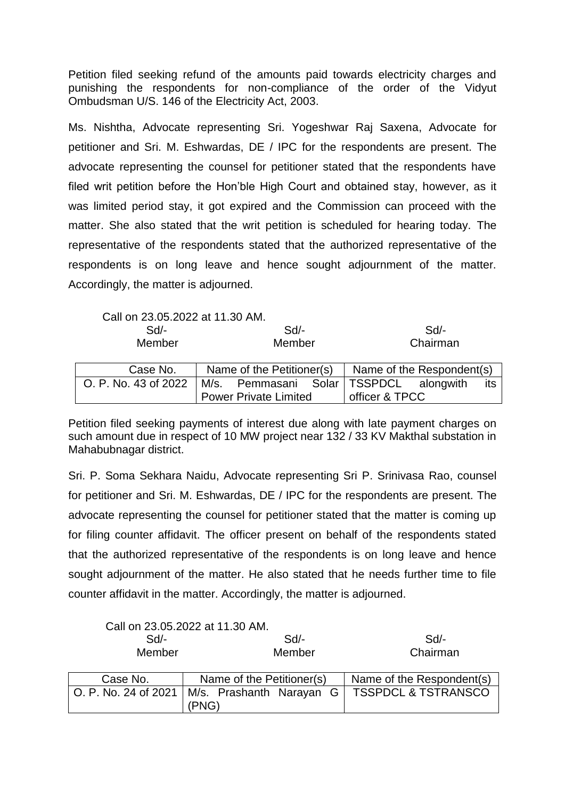Petition filed seeking refund of the amounts paid towards electricity charges and punishing the respondents for non-compliance of the order of the Vidyut Ombudsman U/S. 146 of the Electricity Act, 2003.

Ms. Nishtha, Advocate representing Sri. Yogeshwar Raj Saxena, Advocate for petitioner and Sri. M. Eshwardas, DE / IPC for the respondents are present. The advocate representing the counsel for petitioner stated that the respondents have filed writ petition before the Hon'ble High Court and obtained stay, however, as it was limited period stay, it got expired and the Commission can proceed with the matter. She also stated that the writ petition is scheduled for hearing today. The representative of the respondents stated that the authorized representative of the respondents is on long leave and hence sought adjournment of the matter. Accordingly, the matter is adjourned.

Call on 23.05.2022 at 11.30 AM.

| $Sd$ -<br>Member                      | $Sd$ -<br>Member          |  | Sd<br>Chairman            |  |     |  |
|---------------------------------------|---------------------------|--|---------------------------|--|-----|--|
| Case No.                              | Name of the Petitioner(s) |  | Name of the Respondent(s) |  |     |  |
| O. P. No. 43 of 2022   M/s. Pemmasani |                           |  | Solar   TSSPDCL alongwith |  | its |  |

officer & TPCC

Petition filed seeking payments of interest due along with late payment charges on such amount due in respect of 10 MW project near 132 / 33 KV Makthal substation in Mahabubnagar district.

Power Private Limited

Sri. P. Soma Sekhara Naidu, Advocate representing Sri P. Srinivasa Rao, counsel for petitioner and Sri. M. Eshwardas, DE / IPC for the respondents are present. The advocate representing the counsel for petitioner stated that the matter is coming up for filing counter affidavit. The officer present on behalf of the respondents stated that the authorized representative of the respondents is on long leave and hence sought adjournment of the matter. He also stated that he needs further time to file counter affidavit in the matter. Accordingly, the matter is adjourned.

| Call on 23.05.2022 at 11.30 AM. |                                      |                                |
|---------------------------------|--------------------------------------|--------------------------------|
| $Sd$ -                          | Sd                                   | Sd                             |
| Member                          | Member                               | Chairman                       |
|                                 |                                      |                                |
| Case No.                        | Name of the Petitioner(s)            | Name of the Respondent(s)      |
| O. P. No. 24 of 2021            | M/s. Prashanth Narayan<br>G<br>(PNG) | <b>TSSPDCL &amp; TSTRANSCO</b> |